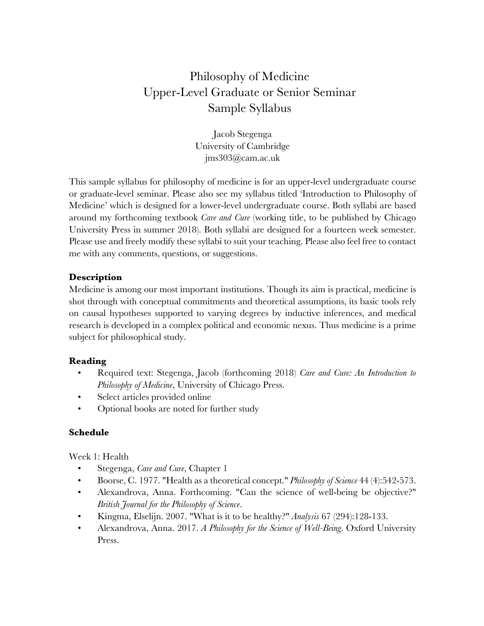## Philosophy of Medicine Upper-Level Graduate or Senior Seminar Sample Syllabus

Jacob Stegenga University of Cambridge jms303@cam.ac.uk

This sample syllabus for philosophy of medicine is for an upper-level undergraduate course or graduate-level seminar. Please also see my syllabus titled 'Introduction to Philosophy of Medicine' which is designed for a lower-level undergraduate course. Both syllabi are based around my forthcoming textbook *Care and Cure* (working title, to be published by Chicago University Press in summer 2018). Both syllabi are designed for a fourteen week semester. Please use and freely modify these syllabi to suit your teaching. Please also feel free to contact me with any comments, questions, or suggestions.

## **Description**

Medicine is among our most important institutions. Though its aim is practical, medicine is shot through with conceptual commitments and theoretical assumptions, its basic tools rely on causal hypotheses supported to varying degrees by inductive inferences, and medical research is developed in a complex political and economic nexus. Thus medicine is a prime subject for philosophical study.

## **Reading**

- Required text: Stegenga, Jacob (forthcoming 2018) *Care and Cure: An Introduction to Philosophy of Medicine*, University of Chicago Press.
- Select articles provided online
- Optional books are noted for further study

## **Schedule**

Week 1: Health

- Stegenga, *Care and Cure*, Chapter 1
- Boorse, C. 1977. "Health as a theoretical concept." *Philosophy of Science* 44 (4):542-573.
- Alexandrova, Anna. Forthcoming. "Can the science of well-being be objective?" *British Journal for the Philosophy of Science*.
- Kingma, Elselijn. 2007. "What is it to be healthy?" *Analysis* 67 (294):128-133.
- Alexandrova, Anna. 2017. *A Philosophy for the Science of Well-Being*. Oxford University Press.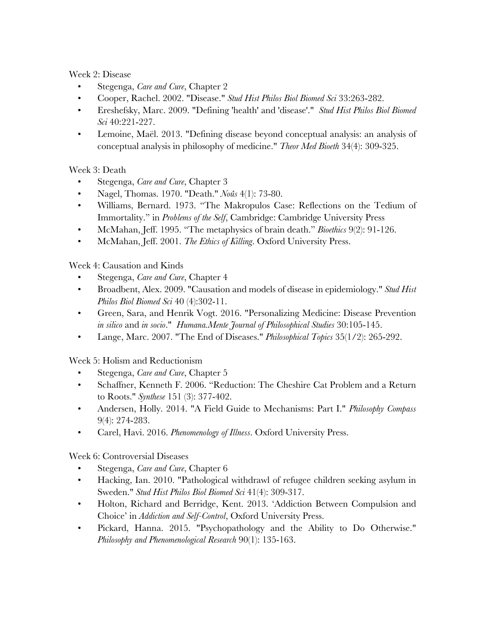Week 2: Disease

- Stegenga, *Care and Cure*, Chapter 2
- Cooper, Rachel. 2002. "Disease." *Stud Hist Philos Biol Biomed Sci* 33:263-282.
- Ereshefsky, Marc. 2009. "Defining 'health' and 'disease'." *Stud Hist Philos Biol Biomed Sci* 40:221-227.
- Lemoine, Maël. 2013. "Defining disease beyond conceptual analysis: an analysis of conceptual analysis in philosophy of medicine." *Theor Med Bioeth* 34(4): 309-325.

Week 3: Death

- Stegenga, *Care and Cure*, Chapter 3
- Nagel, Thomas. 1970. "Death." *Noûs* 4(1): 73-80.
- Williams, Bernard. 1973. "The Makropulos Case: Reflections on the Tedium of Immortality." in *Problems of the Self*, Cambridge: Cambridge University Press
- McMahan, Jeff. 1995. "The metaphysics of brain death." *Bioethics* 9(2): 91-126.
- McMahan, Jeff. 2001. *The Ethics of Killing*. Oxford University Press.

Week 4: Causation and Kinds

- Stegenga, *Care and Cure*, Chapter 4
- Broadbent, Alex. 2009. "Causation and models of disease in epidemiology." *Stud Hist Philos Biol Biomed Sci* 40 (4):302-11.
- Green, Sara, and Henrik Vogt. 2016. "Personalizing Medicine: Disease Prevention *in silico* and *in socio*." *Humana.Mente Journal of Philosophical Studies* 30:105-145.
- Lange, Marc. 2007. "The End of Diseases." *Philosophical Topics* 35(1/2): 265-292.

Week 5: Holism and Reductionism

- Stegenga, *Care and Cure*, Chapter 5
- Schaffner, Kenneth F. 2006. "Reduction: The Cheshire Cat Problem and a Return to Roots." *Synthese* 151 (3): 377-402.
- Andersen, Holly. 2014. "A Field Guide to Mechanisms: Part I." *Philosophy Compass*  9(4): 274-283.
- Carel, Havi. 2016. *Phenomenology of Illness*. Oxford University Press.

Week 6: Controversial Diseases

- Stegenga, *Care and Cure*, Chapter 6
- Hacking, Ian. 2010. "Pathological withdrawl of refugee children seeking asylum in Sweden." *Stud Hist Philos Biol Biomed Sci* 41(4): 309-317.
- Holton, Richard and Berridge, Kent. 2013. 'Addiction Between Compulsion and Choice' in *Addiction and Self-Control*, Oxford University Press.
- Pickard, Hanna. 2015. "Psychopathology and the Ability to Do Otherwise." *Philosophy and Phenomenological Research* 90(1): 135-163.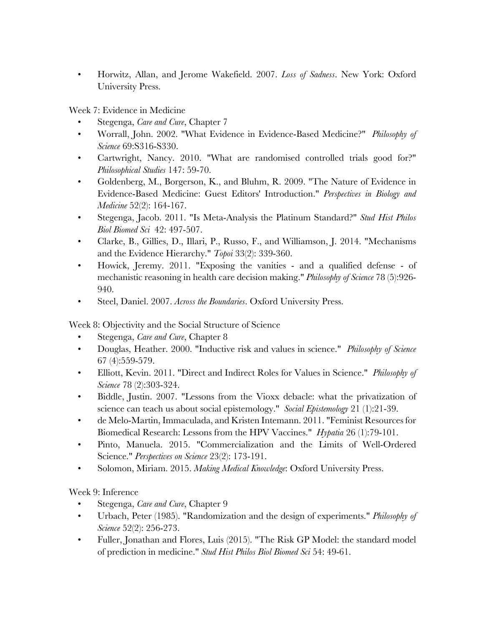• Horwitz, Allan, and Jerome Wakefield. 2007. *Loss of Sadness*. New York: Oxford University Press.

Week 7: Evidence in Medicine

- Stegenga, *Care and Cure*, Chapter 7
- Worrall, John. 2002. "What Evidence in Evidence-Based Medicine?" *Philosophy of Science* 69:S316-S330.
- Cartwright, Nancy. 2010. "What are randomised controlled trials good for?" *Philosophical Studies* 147: 59-70.
- Goldenberg, M., Borgerson, K., and Bluhm, R. 2009. "The Nature of Evidence in Evidence-Based Medicine: Guest Editors' Introduction." *Perspectives in Biology and Medicine* 52(2): 164-167.
- Stegenga, Jacob. 2011. "Is Meta-Analysis the Platinum Standard?" *Stud Hist Philos Biol Biomed Sci* 42: 497-507.
- Clarke, B., Gillies, D., Illari, P., Russo, F., and Williamson, J. 2014. "Mechanisms and the Evidence Hierarchy." *Topoi* 33(2): 339-360.
- Howick, Jeremy. 2011. "Exposing the vanities and a qualified defense of mechanistic reasoning in health care decision making." *Philosophy of Science* 78 (5):926- 940.
- Steel, Daniel. 2007. *Across the Boundaries*. Oxford University Press.

Week 8: Objectivity and the Social Structure of Science

- Stegenga, *Care and Cure*, Chapter 8
- Douglas, Heather. 2000. "Inductive risk and values in science." *Philosophy of Science* 67 (4):559-579.
- Elliott, Kevin. 2011. "Direct and Indirect Roles for Values in Science." *Philosophy of Science* 78 (2):303-324.
- Biddle, Justin. 2007. "Lessons from the Vioxx debacle: what the privatization of science can teach us about social epistemology." *Social Epistemology* 21 (1):21-39.
- de Melo-Martin, Immaculada, and Kristen Intemann. 2011. "Feminist Resources for Biomedical Research: Lessons from the HPV Vaccines." *Hypatia* 26 (1):79-101.
- Pinto, Manuela. 2015. "Commercialization and the Limits of Well-Ordered Science." *Perspectives on Science* 23(2): 173-191.
- Solomon, Miriam. 2015. *Making Medical Knowledge*: Oxford University Press.

Week 9: Inference

- Stegenga, *Care and Cure*, Chapter 9
- Urbach, Peter (1985). "Randomization and the design of experiments." *Philosophy of Science* 52(2): 256-273.
- Fuller, Jonathan and Flores, Luis (2015). "The Risk GP Model: the standard model of prediction in medicine." *Stud Hist Philos Biol Biomed Sci* 54: 49-61.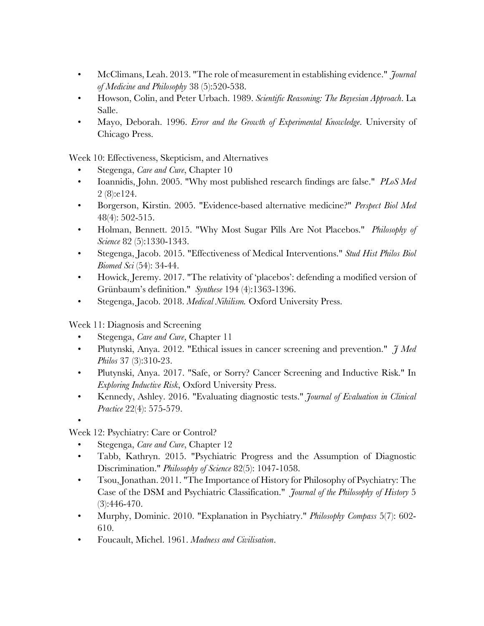- McClimans, Leah. 2013. "The role of measurement in establishing evidence." *Journal of Medicine and Philosophy* 38 (5):520-538.
- Howson, Colin, and Peter Urbach. 1989. *Scientific Reasoning: The Bayesian Approach*. La Salle.
- Mayo, Deborah. 1996. *Error and the Growth of Experimental Knowledge*. University of Chicago Press.

Week 10: Effectiveness, Skepticism, and Alternatives

- Stegenga, *Care and Cure*, Chapter 10
- Ioannidis, John. 2005. "Why most published research findings are false." *PLoS Med* 2 (8):e124.
- Borgerson, Kirstin. 2005. "Evidence-based alternative medicine?" *Perspect Biol Med*  48(4): 502-515.
- Holman, Bennett. 2015. "Why Most Sugar Pills Are Not Placebos." *Philosophy of Science* 82 (5):1330-1343.
- Stegenga, Jacob. 2015. "Effectiveness of Medical Interventions." *Stud Hist Philos Biol Biomed Sci* (54): 34-44.
- Howick, Jeremy. 2017. "The relativity of 'placebos': defending a modified version of Grünbaum's definition." *Synthese* 194 (4):1363-1396.
- Stegenga, Jacob. 2018. *Medical Nihilism.* Oxford University Press.

Week 11: Diagnosis and Screening

- Stegenga, *Care and Cure*, Chapter 11
- Plutynski, Anya. 2012. "Ethical issues in cancer screening and prevention." *J Med Philos* 37 (3):310-23.
- Plutynski, Anya. 2017. "Safe, or Sorry? Cancer Screening and Inductive Risk." In *Exploring Inductive Risk*, Oxford University Press.
- Kennedy, Ashley. 2016. "Evaluating diagnostic tests." *Journal of Evaluation in Clinical Practice* 22(4): 575-579.

Week 12: Psychiatry: Care or Control?

•

- Stegenga, *Care and Cure*, Chapter 12
- Tabb, Kathryn. 2015. "Psychiatric Progress and the Assumption of Diagnostic Discrimination." *Philosophy of Science* 82(5): 1047-1058.
- Tsou, Jonathan. 2011. "The Importance of History for Philosophy of Psychiatry: The Case of the DSM and Psychiatric Classification." *Journal of the Philosophy of History* 5 (3):446-470.
- Murphy, Dominic. 2010. "Explanation in Psychiatry." *Philosophy Compass* 5(7): 602- 610.
- Foucault, Michel. 1961. *Madness and Civilisation*.